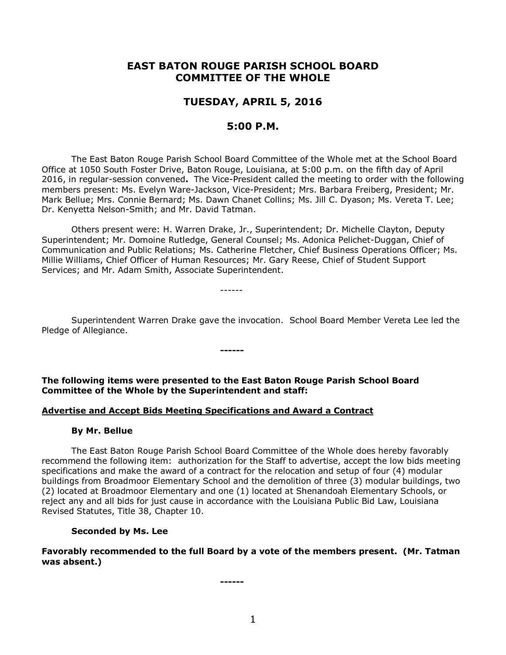# **EAST BATON ROUGE PARISH SCHOOL BOARD COMMITTEE OF THE WHOLE**

## **TUESDAY, APRIL 5, 2016**

## **5:00 P.M.**

The East Baton Rouge Parish School Board Committee of the Whole met at the School Board Office at 1050 South Foster Drive, Baton Rouge, Louisiana, at 5:00 p.m. on the fifth day of April 2016, in regular-session convened**.** The Vice-President called the meeting to order with the following members present: Ms. Evelyn Ware-Jackson, Vice-President; Mrs. Barbara Freiberg, President; Mr. Mark Bellue; Mrs. Connie Bernard; Ms. Dawn Chanet Collins; Ms. Jill C. Dyason; Ms. Vereta T. Lee; Dr. Kenyetta Nelson-Smith; and Mr. David Tatman.

Others present were: H. Warren Drake, Jr., Superintendent; Dr. Michelle Clayton, Deputy Superintendent; Mr. Domoine Rutledge, General Counsel; Ms. Adonica Pelichet-Duggan, Chief of Communication and Public Relations; Ms. Catherine Fletcher, Chief Business Operations Officer; Ms. Millie Williams, Chief Officer of Human Resources; Mr. Gary Reese, Chief of Student Support Services; and Mr. Adam Smith, Associate Superintendent.

------

Superintendent Warren Drake gave the invocation. School Board Member Vereta Lee led the Pledge of Allegiance.

**The following items were presented to the East Baton Rouge Parish School Board Committee of the Whole by the Superintendent and staff:**

**------**

#### **Advertise and Accept Bids Meeting Specifications and Award a Contract**

#### **By Mr. Bellue**

The East Baton Rouge Parish School Board Committee of the Whole does hereby favorably recommend the following item: authorization for the Staff to advertise, accept the low bids meeting specifications and make the award of a contract for the relocation and setup of four (4) modular buildings from Broadmoor Elementary School and the demolition of three (3) modular buildings, two (2) located at Broadmoor Elementary and one (1) located at Shenandoah Elementary Schools, or reject any and all bids for just cause in accordance with the Louisiana Public Bid Law, Louisiana Revised Statutes, Title 38, Chapter 10.

#### **Seconded by Ms. Lee**

**Favorably recommended to the full Board by a vote of the members present. (Mr. Tatman was absent.)**

**------**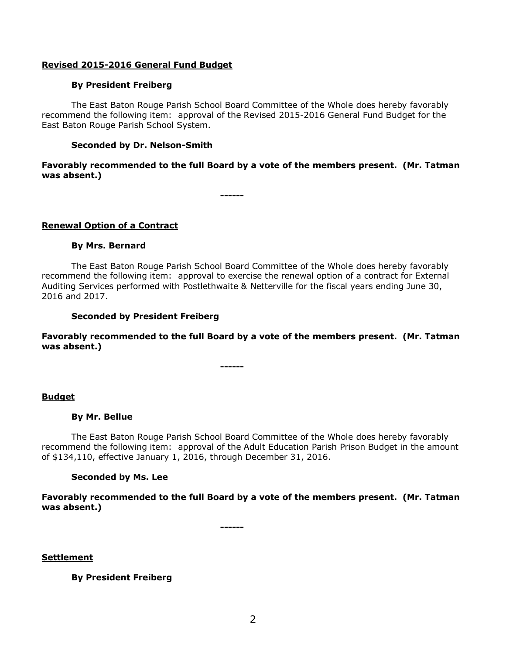## **Revised 2015-2016 General Fund Budget**

## **By President Freiberg**

The East Baton Rouge Parish School Board Committee of the Whole does hereby favorably recommend the following item: approval of the Revised 2015-2016 General Fund Budget for the East Baton Rouge Parish School System.

## **Seconded by Dr. Nelson-Smith**

**Favorably recommended to the full Board by a vote of the members present. (Mr. Tatman was absent.)**

**------**

## **Renewal Option of a Contract**

## **By Mrs. Bernard**

The East Baton Rouge Parish School Board Committee of the Whole does hereby favorably recommend the following item: approval to exercise the renewal option of a contract for External Auditing Services performed with Postlethwaite & Netterville for the fiscal years ending June 30, 2016 and 2017.

## **Seconded by President Freiberg**

**Favorably recommended to the full Board by a vote of the members present. (Mr. Tatman was absent.)**

**------**

#### **Budget**

#### **By Mr. Bellue**

The East Baton Rouge Parish School Board Committee of the Whole does hereby favorably recommend the following item: approval of the Adult Education Parish Prison Budget in the amount of \$134,110, effective January 1, 2016, through December 31, 2016.

#### **Seconded by Ms. Lee**

**Favorably recommended to the full Board by a vote of the members present. (Mr. Tatman was absent.)**

**------**

**Settlement**

**By President Freiberg**